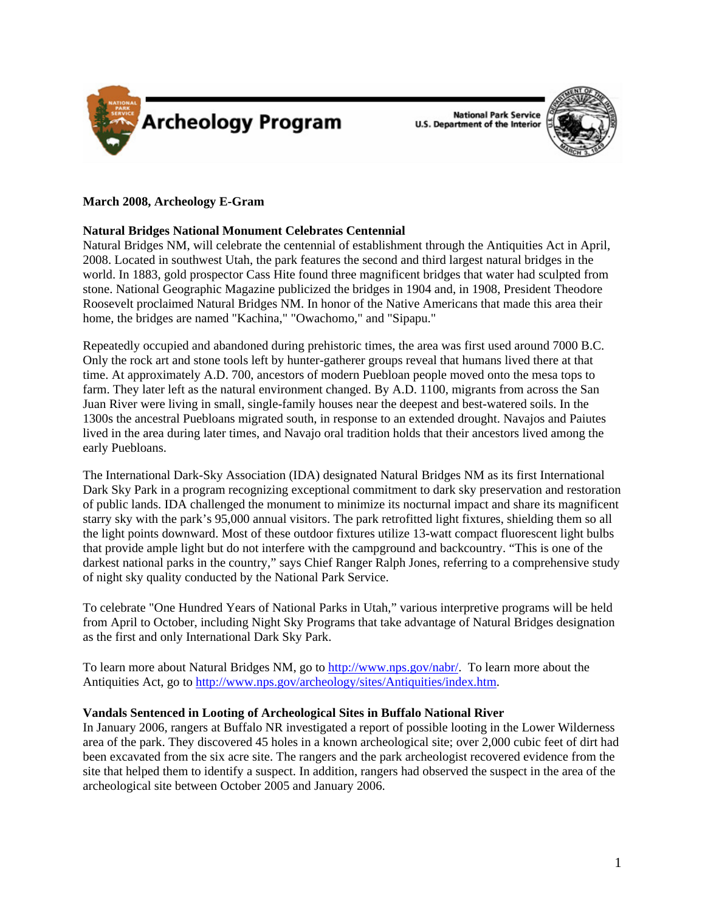



# **March 2008, Archeology E-Gram**

## **Natural Bridges National Monument Celebrates Centennial**

Natural Bridges NM, will celebrate the centennial of establishment through the Antiquities Act in April, 2008. Located in southwest Utah, the park features the second and third largest natural bridges in the world. In 1883, gold prospector Cass Hite found three magnificent bridges that water had sculpted from stone. National Geographic Magazine publicized the bridges in 1904 and, in 1908, President Theodore Roosevelt proclaimed Natural Bridges NM. In honor of the Native Americans that made this area their home, the bridges are named "Kachina," "Owachomo," and "Sipapu."

Repeatedly occupied and abandoned during prehistoric times, the area was first used around 7000 B.C. Only the rock art and stone tools left by hunter-gatherer groups reveal that humans lived there at that time. At approximately A.D. 700, ancestors of modern Puebloan people moved onto the mesa tops to farm. They later left as the natural environment changed. By A.D. 1100, migrants from across the San Juan River were living in small, single-family houses near the deepest and best-watered soils. In the 1300s the ancestral Puebloans migrated south, in response to an extended drought. Navajos and Paiutes lived in the area during later times, and Navajo oral tradition holds that their ancestors lived among the early Puebloans.

The International Dark-Sky Association (IDA) designated Natural Bridges NM as its first International Dark Sky Park in a program recognizing exceptional commitment to dark sky preservation and restoration of public lands. IDA challenged the monument to minimize its nocturnal impact and share its magnificent starry sky with the park's 95,000 annual visitors. The park retrofitted light fixtures, shielding them so all the light points downward. Most of these outdoor fixtures utilize 13-watt compact fluorescent light bulbs that provide ample light but do not interfere with the campground and backcountry. "This is one of the darkest national parks in the country," says Chief Ranger Ralph Jones, referring to a comprehensive study of night sky quality conducted by the National Park Service.

To celebrate "One Hundred Years of National Parks in Utah," various interpretive programs will be held from April to October, including Night Sky Programs that take advantage of Natural Bridges designation as the first and only International Dark Sky Park.

To learn more about Natural Bridges NM, go to <http://www.nps.gov/nabr/>. To learn more about the Antiquities Act, go to<http://www.nps.gov/archeology/sites/Antiquities/index.htm>.

## **Vandals Sentenced in Looting of Archeological Sites in Buffalo National River**

In January 2006, rangers at Buffalo NR investigated a report of possible looting in the Lower Wilderness area of the park. They discovered 45 holes in a known archeological site; over 2,000 cubic feet of dirt had been excavated from the six acre site. The rangers and the park archeologist recovered evidence from the site that helped them to identify a suspect. In addition, rangers had observed the suspect in the area of the archeological site between October 2005 and January 2006.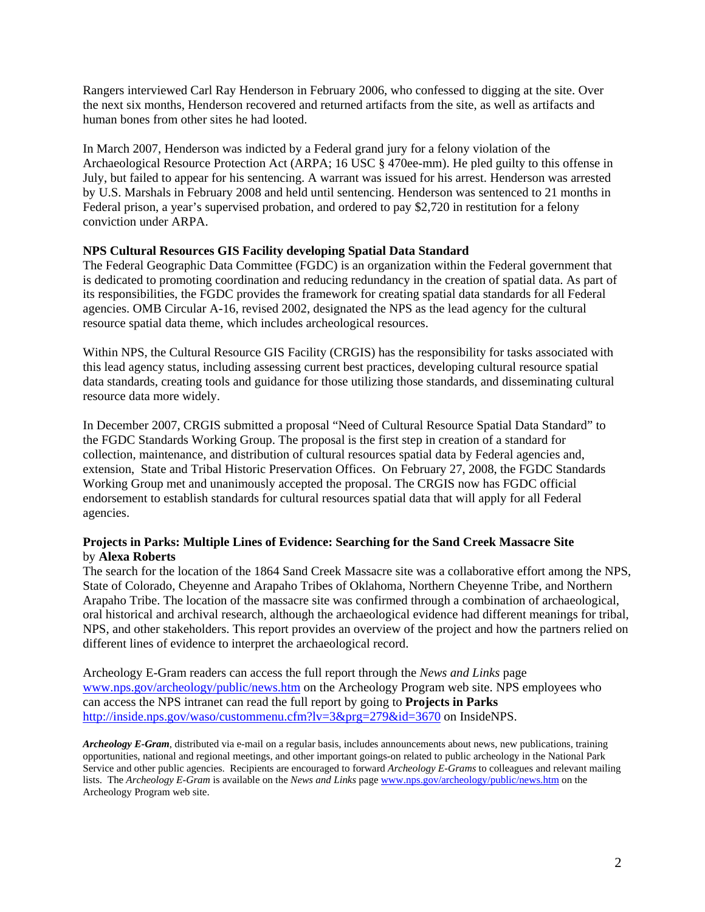Rangers interviewed Carl Ray Henderson in February 2006, who confessed to digging at the site. Over the next six months, Henderson recovered and returned artifacts from the site, as well as artifacts and human bones from other sites he had looted.

In March 2007, Henderson was indicted by a Federal grand jury for a felony violation of the Archaeological Resource Protection Act (ARPA; 16 USC § 470ee-mm). He pled guilty to this offense in July, but failed to appear for his sentencing. A warrant was issued for his arrest. Henderson was arrested by U.S. Marshals in February 2008 and held until sentencing. Henderson was sentenced to 21 months in Federal prison, a year's supervised probation, and ordered to pay \$2,720 in restitution for a felony conviction under ARPA.

# **NPS Cultural Resources GIS Facility developing Spatial Data Standard**

The Federal Geographic Data Committee (FGDC) is an organization within the Federal government that is dedicated to promoting coordination and reducing redundancy in the creation of spatial data. As part of its responsibilities, the FGDC provides the framework for creating spatial data standards for all Federal agencies. OMB Circular A-16, revised 2002, designated the NPS as the lead agency for the cultural resource spatial data theme, which includes archeological resources.

Within NPS, the Cultural Resource GIS Facility (CRGIS) has the responsibility for tasks associated with this lead agency status, including assessing current best practices, developing cultural resource spatial data standards, creating tools and guidance for those utilizing those standards, and disseminating cultural resource data more widely.

In December 2007, CRGIS submitted a proposal "Need of Cultural Resource Spatial Data Standard" to the FGDC Standards Working Group. The proposal is the first step in creation of a standard for collection, maintenance, and distribution of cultural resources spatial data by Federal agencies and, extension, State and Tribal Historic Preservation Offices. On February 27, 2008, the FGDC Standards Working Group met and unanimously accepted the proposal. The CRGIS now has FGDC official endorsement to establish standards for cultural resources spatial data that will apply for all Federal agencies.

# **Projects in Parks: Multiple Lines of Evidence: Searching for the Sand Creek Massacre Site**  by **Alexa Roberts**

The search for the location of the 1864 Sand Creek Massacre site was a collaborative effort among the NPS, State of Colorado, Cheyenne and Arapaho Tribes of Oklahoma, Northern Cheyenne Tribe, and Northern Arapaho Tribe. The location of the massacre site was confirmed through a combination of archaeological, oral historical and archival research, although the archaeological evidence had different meanings for tribal, NPS, and other stakeholders. This report provides an overview of the project and how the partners relied on different lines of evidence to interpret the archaeological record.

Archeology E-Gram readers can access the full report through the *News and Links* page [www.nps.gov/archeology/public/news.htm](http://www.nps.gov/archeology/public/news.htm) on the Archeology Program web site. NPS employees who can access the NPS intranet can read the full report by going to **Projects in Parks**  <http://inside.nps.gov/waso/custommenu.cfm?lv=3&prg=279&id=3670>on InsideNPS.

*Archeology E-Gram*, distributed via e-mail on a regular basis, includes announcements about news, new publications, training opportunities, national and regional meetings, and other important goings-on related to public archeology in the National Park Service and other public agencies. Recipients are encouraged to forward *Archeology E-Grams* to colleagues and relevant mailing lists. The *Archeology E-Gram* is available on the *News and Links* page [www.nps.gov/archeology/public/news.htm](http://www.nps.gov/archeology/public/news.htm) on the Archeology Program web site.